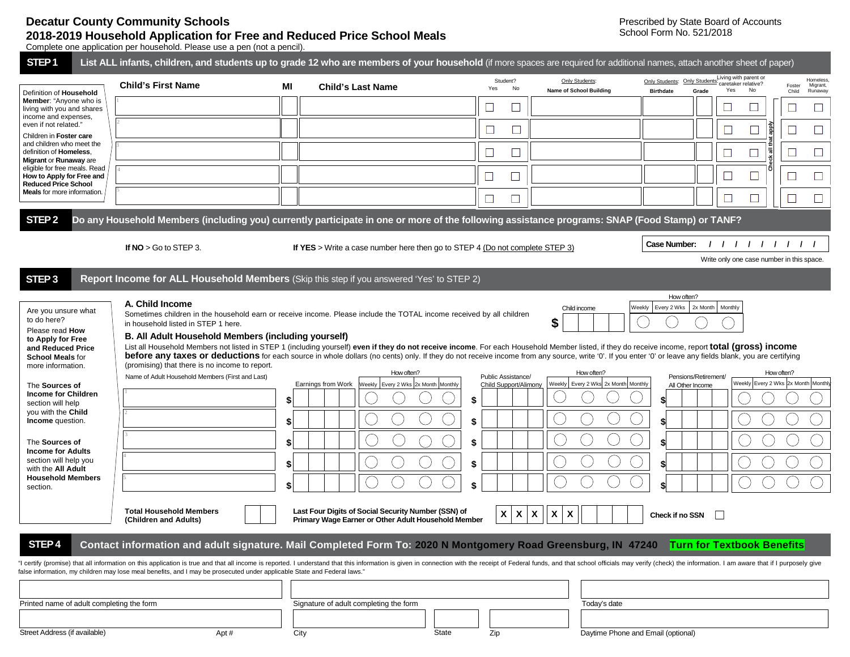## **Decatur County Community Schools 2018-2019 Household Application for Free and Reduced Price School Meals**

Complete one application per household. Please use a pen (not a pencil).

| STEP <sub>1</sub>                                                                                                                                                                                                                                                                                                                                                                | List ALL infants, children, and students up to grade 12 who are members of your household (if more spaces are required for additional names, attach another sheet of paper) |    |                                                                                                                                                                                                                                                                                                                                                                                                                              |                             |                                                  |                                                                                                                                                                                                                               |  |  |  |
|----------------------------------------------------------------------------------------------------------------------------------------------------------------------------------------------------------------------------------------------------------------------------------------------------------------------------------------------------------------------------------|-----------------------------------------------------------------------------------------------------------------------------------------------------------------------------|----|------------------------------------------------------------------------------------------------------------------------------------------------------------------------------------------------------------------------------------------------------------------------------------------------------------------------------------------------------------------------------------------------------------------------------|-----------------------------|--------------------------------------------------|-------------------------------------------------------------------------------------------------------------------------------------------------------------------------------------------------------------------------------|--|--|--|
| Definition of Household<br>Member: "Anyone who is<br>living with you and shares<br>income and expenses,<br>even if not related."<br>Children in Foster care<br>and children who meet the<br>definition of Homeless,<br>Migrant or Runaway are<br>eligible for free meals. Read<br>How to Apply for Free and<br><b>Reduced Price School</b><br><b>Meals</b> for more information. | <b>Child's First Name</b>                                                                                                                                                   | MI | <b>Child's Last Name</b>                                                                                                                                                                                                                                                                                                                                                                                                     | Student?<br>Yes<br>No       | Only Students:<br><b>Name of School Building</b> | Living with parent or<br>Homeless.<br>Only Students: Only Students:<br>caretaker relative?<br>Migrant,<br>Foster<br>Yes<br>No<br>Grade<br><b>Birthdate</b><br>Child<br>Runaway                                                |  |  |  |
|                                                                                                                                                                                                                                                                                                                                                                                  |                                                                                                                                                                             |    |                                                                                                                                                                                                                                                                                                                                                                                                                              |                             |                                                  | $\Box$                                                                                                                                                                                                                        |  |  |  |
|                                                                                                                                                                                                                                                                                                                                                                                  |                                                                                                                                                                             |    |                                                                                                                                                                                                                                                                                                                                                                                                                              | $\Box$<br>$\Box$            |                                                  | $\Box$                                                                                                                                                                                                                        |  |  |  |
|                                                                                                                                                                                                                                                                                                                                                                                  |                                                                                                                                                                             |    |                                                                                                                                                                                                                                                                                                                                                                                                                              | $\Box$                      |                                                  | $\Box$<br>$\Box$<br>$\Box$                                                                                                                                                                                                    |  |  |  |
|                                                                                                                                                                                                                                                                                                                                                                                  |                                                                                                                                                                             |    |                                                                                                                                                                                                                                                                                                                                                                                                                              |                             |                                                  |                                                                                                                                                                                                                               |  |  |  |
|                                                                                                                                                                                                                                                                                                                                                                                  |                                                                                                                                                                             |    |                                                                                                                                                                                                                                                                                                                                                                                                                              | $\Box$                      |                                                  | $\Box$                                                                                                                                                                                                                        |  |  |  |
|                                                                                                                                                                                                                                                                                                                                                                                  |                                                                                                                                                                             |    |                                                                                                                                                                                                                                                                                                                                                                                                                              | ⊔<br>L                      |                                                  |                                                                                                                                                                                                                               |  |  |  |
| STEP <sub>2</sub>                                                                                                                                                                                                                                                                                                                                                                |                                                                                                                                                                             |    | Do any Household Members (including you) currently participate in one or more of the following assistance programs: SNAP (Food Stamp) or TANF?                                                                                                                                                                                                                                                                               |                             |                                                  |                                                                                                                                                                                                                               |  |  |  |
|                                                                                                                                                                                                                                                                                                                                                                                  | 111111111<br>Case Number:<br>If $NO > Go$ to STEP 3.<br>If YES > Write a case number here then go to STEP 4 (Do not complete STEP 3)                                        |    |                                                                                                                                                                                                                                                                                                                                                                                                                              |                             |                                                  |                                                                                                                                                                                                                               |  |  |  |
|                                                                                                                                                                                                                                                                                                                                                                                  |                                                                                                                                                                             |    |                                                                                                                                                                                                                                                                                                                                                                                                                              |                             |                                                  | Write only one case number in this space.                                                                                                                                                                                     |  |  |  |
| STEP <sub>3</sub>                                                                                                                                                                                                                                                                                                                                                                |                                                                                                                                                                             |    | Report Income for ALL Household Members (Skip this step if you answered 'Yes' to STEP 2)                                                                                                                                                                                                                                                                                                                                     |                             |                                                  | How often?                                                                                                                                                                                                                    |  |  |  |
| Are you unsure what<br>to do here?<br>Please read How<br>to Apply for Free                                                                                                                                                                                                                                                                                                       | A. Child Income<br>in household listed in STEP 1 here.<br>B. All Adult Household Members (including yourself)                                                               |    | Sometimes children in the household earn or receive income. Please include the TOTAL income received by all children                                                                                                                                                                                                                                                                                                         |                             | Child income<br>\$                               | 2x Month<br>Weekly   Every 2 Wks<br>Monthly                                                                                                                                                                                   |  |  |  |
| and Reduced Price<br><b>School Meals for</b><br>more information.                                                                                                                                                                                                                                                                                                                | (promising) that there is no income to report.<br>Name of Adult Household Members (First and Last)                                                                          |    | List all Household Members not listed in STEP 1 (including yourself) even if they do not receive income. For each Household Member listed, if they do receive income, report total (gross) income<br>before any taxes or deductions for each source in whole dollars (no cents) only. If they do not receive income from any source, write '0'. If you enter '0' or leave any fields blank, you are certifying<br>How often? | Public Assistance/          | How often?                                       | How often?<br>Pensions/Retirement/                                                                                                                                                                                            |  |  |  |
| The Sources of<br><b>Income for Children</b><br>section will help<br>you with the Child<br>Income question.<br>The Sources of<br><b>Income for Adults</b><br>section will help you<br>with the All Adult<br><b>Household Members</b>                                                                                                                                             |                                                                                                                                                                             | \$ | Earnings from Work<br>Weekly   Every 2 Wks 2x Month   Monthly                                                                                                                                                                                                                                                                                                                                                                | Child Support/Alimony<br>\$ | Weekly Every 2 Wks 2x Month Monthly              | Weekly Every 2 Wks 2x Month Monthly<br>All Other Income<br>$\mathbf{s}$                                                                                                                                                       |  |  |  |
|                                                                                                                                                                                                                                                                                                                                                                                  |                                                                                                                                                                             | \$ |                                                                                                                                                                                                                                                                                                                                                                                                                              | \$                          |                                                  | \$                                                                                                                                                                                                                            |  |  |  |
|                                                                                                                                                                                                                                                                                                                                                                                  |                                                                                                                                                                             |    |                                                                                                                                                                                                                                                                                                                                                                                                                              |                             |                                                  |                                                                                                                                                                                                                               |  |  |  |
|                                                                                                                                                                                                                                                                                                                                                                                  |                                                                                                                                                                             |    |                                                                                                                                                                                                                                                                                                                                                                                                                              | \$                          |                                                  |                                                                                                                                                                                                                               |  |  |  |
|                                                                                                                                                                                                                                                                                                                                                                                  |                                                                                                                                                                             |    |                                                                                                                                                                                                                                                                                                                                                                                                                              |                             |                                                  |                                                                                                                                                                                                                               |  |  |  |
| section.                                                                                                                                                                                                                                                                                                                                                                         |                                                                                                                                                                             |    |                                                                                                                                                                                                                                                                                                                                                                                                                              |                             |                                                  |                                                                                                                                                                                                                               |  |  |  |
|                                                                                                                                                                                                                                                                                                                                                                                  | <b>Total Household Members</b><br>(Children and Adults)                                                                                                                     |    | Last Four Digits of Social Security Number (SSN) of<br>Primary Wage Earner or Other Adult Household Member                                                                                                                                                                                                                                                                                                                   | X<br>X                      | X<br>X<br>X                                      | Check if no SSN                                                                                                                                                                                                               |  |  |  |
| STEP <sub>4</sub>                                                                                                                                                                                                                                                                                                                                                                |                                                                                                                                                                             |    | Contact information and adult signature. Mail Completed Form To: 2020 N Montgomery Road Greensburg, IN 47240 Turn for Textbook Benefits                                                                                                                                                                                                                                                                                      |                             |                                                  |                                                                                                                                                                                                                               |  |  |  |
|                                                                                                                                                                                                                                                                                                                                                                                  | false information, my children may lose meal benefits, and I may be prosecuted under applicable State and Federal laws."                                                    |    |                                                                                                                                                                                                                                                                                                                                                                                                                              |                             |                                                  | "I certify (promise) that all information on this application is true and that all income is reported. I understand that this information is given in connection with the receipt of Federal funds, and that school officials |  |  |  |
|                                                                                                                                                                                                                                                                                                                                                                                  |                                                                                                                                                                             |    |                                                                                                                                                                                                                                                                                                                                                                                                                              |                             |                                                  |                                                                                                                                                                                                                               |  |  |  |
| Printed name of adult completing the form                                                                                                                                                                                                                                                                                                                                        |                                                                                                                                                                             |    | Signature of adult completing the form<br>Today's date                                                                                                                                                                                                                                                                                                                                                                       |                             |                                                  |                                                                                                                                                                                                                               |  |  |  |
| Street Address (if available)<br>Apt#                                                                                                                                                                                                                                                                                                                                            |                                                                                                                                                                             |    | City<br>Zip<br>Daytime Phone and Email (optional)<br>State                                                                                                                                                                                                                                                                                                                                                                   |                             |                                                  |                                                                                                                                                                                                                               |  |  |  |